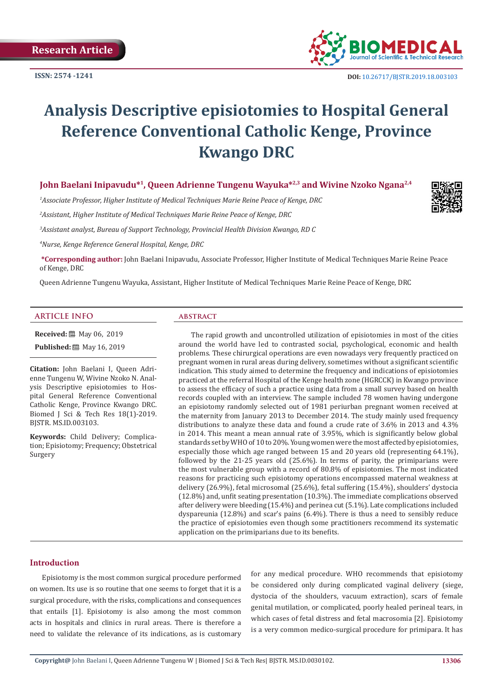

# **Analysis Descriptive episiotomies to Hospital General Reference Conventional Catholic Kenge, Province Kwango DRC**

**John Baelani Inipavudu\*1, Queen Adrienne Tungenu Wayuka\*2,3 and Wivine Nzoko Ngana2,4** 

*1 Associate Professor, Higher Institute of Medical Techniques Marie Reine Peace of Kenge, DRC* 

*2 Assistant, Higher Institute of Medical Techniques Marie Reine Peace of Kenge, DRC* 

*3 Assistant analyst, Bureau of Support Technology, Provincial Health Division Kwango, RD C* 

*4 Nurse, Kenge Reference General Hospital, Kenge, DRC* 

**\*Corresponding author:** John Baelani Inipavudu, Associate Professor, Higher Institute of Medical Techniques Marie Reine Peace of Kenge, DRC

Queen Adrienne Tungenu Wayuka, Assistant, Higher Institute of Medical Techniques Marie Reine Peace of Kenge, DRC

#### **ARTICLE INFO abstract**

**Received:** 圖 May 06, 2019 **Published:** ■ May 16, 2019

**Citation:** John Baelani I, Queen Adrienne Tungenu W, Wivine Nzoko N. Analysis Descriptive episiotomies to Hospital General Reference Conventional Catholic Kenge, Province Kwango DRC. Biomed J Sci & Tech Res 18(1)-2019. BJSTR. MS.ID.003103.

**Keywords:** Child Delivery; Complication; Episiotomy; Frequency; Obstetrical Surgery

The rapid growth and uncontrolled utilization of episiotomies in most of the cities around the world have led to contrasted social, psychological, economic and health problems. These chirurgical operations are even nowadays very frequently practiced on pregnant women in rural areas during delivery, sometimes without a significant scientific indication. This study aimed to determine the frequency and indications of episiotomies practiced at the referral Hospital of the Kenge health zone (HGRCCK) in Kwango province to assess the efficacy of such a practice using data from a small survey based on health records coupled with an interview. The sample included 78 women having undergone an episiotomy randomly selected out of 1981 periurban pregnant women received at the maternity from January 2013 to December 2014. The study mainly used frequency distributions to analyze these data and found a crude rate of 3.6% in 2013 and 4.3% in 2014. This meant a mean annual rate of 3.95%, which is significantly below global standards set by WHO of 10 to 20%. Young women were the most affected by episiotomies, especially those which age ranged between 15 and 20 years old (representing 64.1%), followed by the 21-25 years old (25.6%). In terms of parity, the primiparians were the most vulnerable group with a record of 80.8% of episiotomies. The most indicated reasons for practicing such episiotomy operations encompassed maternal weakness at delivery (26.9%), fetal microsomal (25.6%), fetal suffering (15.4%), shoulders' dystocia (12.8%) and, unfit seating presentation (10.3%). The immediate complications observed after delivery were bleeding (15.4%) and perinea cut (5.1%). Late complications included dyspareunia (12.8%) and scar's pains (6.4%). There is thus a need to sensibly reduce the practice of episiotomies even though some practitioners recommend its systematic application on the primiparians due to its benefits.

# **Introduction**

Episiotomy is the most common surgical procedure performed on women. Its use is so routine that one seems to forget that it is a surgical procedure, with the risks, complications and consequences that entails [1]. Episiotomy is also among the most common acts in hospitals and clinics in rural areas. There is therefore a need to validate the relevance of its indications, as is customary for any medical procedure. WHO recommends that episiotomy be considered only during complicated vaginal delivery (siege, dystocia of the shoulders, vacuum extraction), scars of female genital mutilation, or complicated, poorly healed perineal tears, in which cases of fetal distress and fetal macrosomia [2]. Episiotomy is a very common medico-surgical procedure for primipara. It has

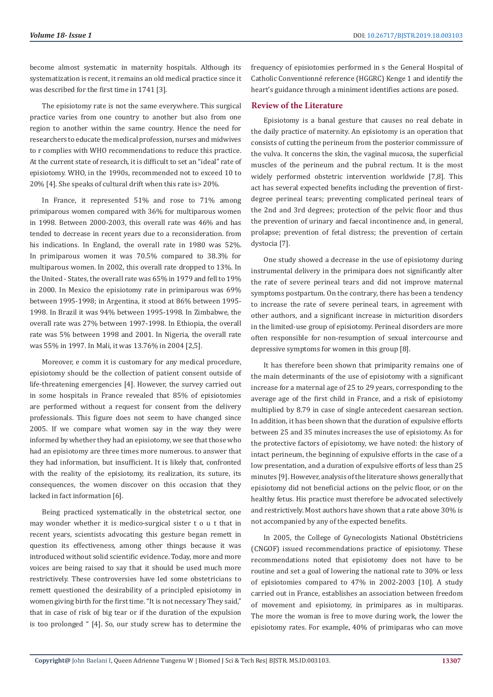become almost systematic in maternity hospitals. Although its systematization is recent, it remains an old medical practice since it was described for the first time in 1741 [3].

The episiotomy rate is not the same everywhere. This surgical practice varies from one country to another but also from one region to another within the same country. Hence the need for researchers to educate the medical profession, nurses and midwives to r complies with WHO recommendations to reduce this practice. At the current state of research, it is difficult to set an "ideal" rate of episiotomy. WHO, in the 1990s, recommended not to exceed 10 to 20% [4]. She speaks of cultural drift when this rate is> 20%.

In France, it represented 51% and rose to 71% among primiparous women compared with 36% for multiparous women in 1998. Between 2000-2003, this overall rate was 46% and has tended to decrease in recent years due to a reconsideration. from his indications. In England, the overall rate in 1980 was 52%. In primiparous women it was 70.5% compared to 38.3% for multiparous women. In 2002, this overall rate dropped to 13%. In the United - States, the overall rate was 65% in 1979 and fell to 19% in 2000. In Mexico the episiotomy rate in primiparous was 69% between 1995-1998; in Argentina, it stood at 86% between 1995- 1998. In Brazil it was 94% between 1995-1998. In Zimbabwe, the overall rate was 27% between 1997-1998. In Ethiopia, the overall rate was 5% between 1998 and 2001. In Nigeria, the overall rate was 55% in 1997. In Mali, it was 13.76% in 2004 [2,5].

Moreover, e comm it is customary for any medical procedure, episiotomy should be the collection of patient consent outside of life-threatening emergencies [4]. However, the survey carried out in some hospitals in France revealed that 85% of episiotomies are performed without a request for consent from the delivery professionals. This figure does not seem to have changed since 2005. If we compare what women say in the way they were informed by whether they had an episiotomy, we see that those who had an episiotomy are three times more numerous. to answer that they had information, but insufficient. It is likely that, confronted with the reality of the episiotomy, its realization, its suture, its consequences, the women discover on this occasion that they lacked in fact information [6].

Being practiced systematically in the obstetrical sector, one may wonder whether it is medico-surgical sister t o u t that in recent years, scientists advocating this gesture began remett in question its effectiveness, among other things because it was introduced without solid scientific evidence. Today, more and more voices are being raised to say that it should be used much more restrictively. These controversies have led some obstetricians to remett questioned the desirability of a principled episiotomy in women giving birth for the first time. "It is not necessary They said," that in case of risk of big tear or if the duration of the expulsion is too prolonged " [4]. So, our study screw has to determine the

frequency of episiotomies performed in s the General Hospital of Catholic Conventionné reference (HGGRC) Kenge 1 and identify the heart's guidance through a miniment identifies actions are posed.

# **Review of the Literature**

Episiotomy is a banal gesture that causes no real debate in the daily practice of maternity. An episiotomy is an operation that consists of cutting the perineum from the posterior commissure of the vulva. It concerns the skin, the vaginal mucosa, the superficial muscles of the perineum and the pubral rectum. It is the most widely performed obstetric intervention worldwide [7,8]. This act has several expected benefits including the prevention of firstdegree perineal tears; preventing complicated perineal tears of the 2nd and 3rd degrees; protection of the pelvic floor and thus the prevention of urinary and faecal incontinence and, in general, prolapse; prevention of fetal distress; the prevention of certain dystocia [7].

One study showed a decrease in the use of episiotomy during instrumental delivery in the primipara does not significantly alter the rate of severe perineal tears and did not improve maternal symptoms postpartum. On the contrary, there has been a tendency to increase the rate of severe perineal tears, in agreement with other authors, and a significant increase in micturition disorders in the limited-use group of episiotomy. Perineal disorders are more often responsible for non-resumption of sexual intercourse and depressive symptoms for women in this group [8].

It has therefore been shown that primiparity remains one of the main determinants of the use of episiotomy with a significant increase for a maternal age of 25 to 29 years, corresponding to the average age of the first child in France, and a risk of episiotomy multiplied by 8.79 in case of single antecedent caesarean section. In addition, it has been shown that the duration of expulsive efforts between 25 and 35 minutes increases the use of episiotomy. As for the protective factors of episiotomy, we have noted: the history of intact perineum, the beginning of expulsive efforts in the case of a low presentation, and a duration of expulsive efforts of less than 25 minutes [9]. However, analysis of the literature shows generally that episiotomy did not beneficial actions on the pelvic floor, or on the healthy fetus. His practice must therefore be advocated selectively and restrictively. Most authors have shown that a rate above 30% is not accompanied by any of the expected benefits.

In 2005, the College of Gynecologists National Obstétriciens (CNGOF) issued recommendations practice of episiotomy. These recommendations noted that episiotomy does not have to be routine and set a goal of lowering the national rate to 30% or less of episiotomies compared to 47% in 2002-2003 [10]. A study carried out in France, establishes an association between freedom of movement and episiotomy, in primipares as in multiparas. The more the woman is free to move during work, the lower the episiotomy rates. For example, 40% of primiparas who can move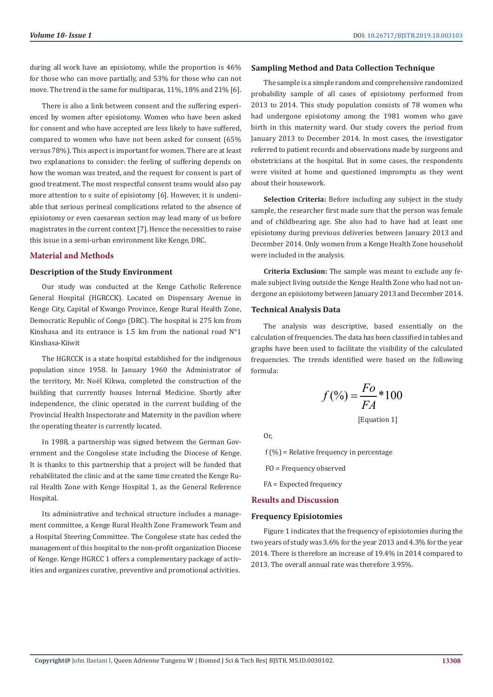during all work have an episiotomy, while the proportion is 46% for those who can move partially, and 53% for those who can not move. The trend is the same for multiparas, 11%, 18% and 21% [6].

There is also a link between consent and the suffering experienced by women after episiotomy. Women who have been asked for consent and who have accepted are less likely to have suffered, compared to women who have not been asked for consent (65% versus 78%). This aspect is important for women. There are at least two explanations to consider: the feeling of suffering depends on how the woman was treated, and the request for consent is part of good treatment. The most respectful consent teams would also pay more attention to s suite of episiotomy [6]. However, it is undeniable that serious perineal complications related to the absence of episiotomy or even caesarean section may lead many of us before magistrates in the current context [7]. Hence the necessities to raise this issue in a semi-urban environment like Kenge, DRC.

#### **Material and Methods**

# **Description of the Study Environment**

Our study was conducted at the Kenge Catholic Reference General Hospital (HGRCCK). Located on Dispensary Avenue in Kenge City, Capital of Kwango Province, Kenge Rural Health Zone, Democratic Republic of Congo (DRC). The hospital is 275 km from Kinshasa and its entrance is 1.5 km from the national road N°1 Kinshasa-Kiiwit

The HGRCCK is a state hospital established for the indigenous population since 1958. In January 1960 the Administrator of the territory, Mr. Noël Kikwa, completed the construction of the building that currently houses Internal Medicine. Shortly after independence, the clinic operated in the current building of the Provincial Health Inspectorate and Maternity in the pavilion where the operating theater is currently located.

In 1988, a partnership was signed between the German Government and the Congolese state including the Diocese of Kenge. It is thanks to this partnership that a project will be funded that rehabilitated the clinic and at the same time created the Kenge Rural Health Zone with Kenge Hospital 1, as the General Reference Hospital.

Its administrative and technical structure includes a management committee, a Kenge Rural Health Zone Framework Team and a Hospital Steering Committee. The Congolese state has ceded the management of this hospital to the non-profit organization Diocese of Kenge. Kenge HGRCC 1 offers a complementary package of activities and organizes curative, preventive and promotional activities.

# **Sampling Method and Data Collection Technique**

The sample is a simple random and comprehensive randomized probability sample of all cases of episiotomy performed from 2013 to 2014. This study population consists of 78 women who had undergone episiotomy among the 1981 women who gave birth in this maternity ward. Our study covers the period from January 2013 to December 2014. In most cases, the investigator referred to patient records and observations made by surgeons and obstetricians at the hospital. But in some cases, the respondents were visited at home and questioned impromptu as they went about their housework.

**Selection Criteria:** Before including any subject in the study sample, the researcher first made sure that the person was female and of childbearing age. She also had to have had at least one episiotomy during previous deliveries between January 2013 and December 2014. Only women from a Kenge Health Zone household were included in the analysis.

**Criteria Exclusion:** The sample was meant to exclude any female subject living outside the Kenge Health Zone who had not undergone an episiotomy between January 2013 and December 2014.

## **Technical Analysis Data**

The analysis was descriptive, based essentially on the calculation of frequencies. The data has been classified in tables and graphs have been used to facilitate the visibility of the calculated frequencies. The trends identified were based on the following formula:

$$
f(\%) = \frac{Fo}{FA} * 100
$$

[Equation 1]

Or,

 $f$  (%) = Relative frequency in percentage

FO = Frequency observed

FA = Expected frequency

# **Results and Discussion**

#### **Frequency Episiotomies**

Figure 1 indicates that the frequency of episiotomies during the two years of study was 3.6% for the year 2013 and 4.3% for the year 2014. There is therefore an increase of 19.4% in 2014 compared to 2013. The overall annual rate was therefore 3.95%.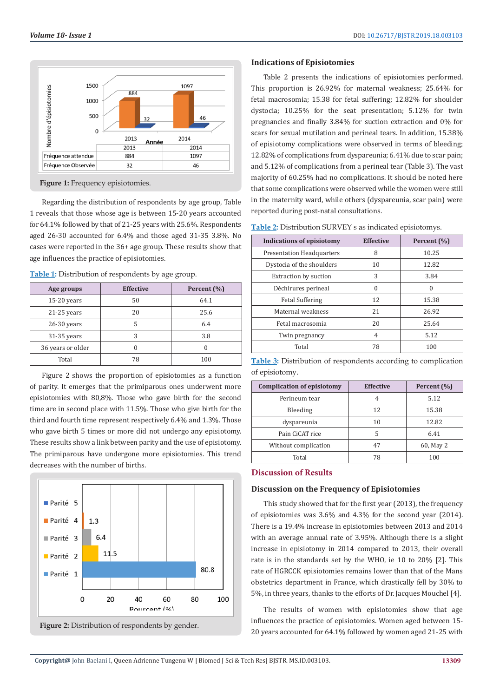

**Figure 1:** Frequency episiotomies.

Regarding the distribution of respondents by age group, Table 1 reveals that those whose age is between 15-20 years accounted for 64.1% followed by that of 21-25 years with 25.6%. Respondents aged 26-30 accounted for 6.4% and those aged 31-35 3.8%. No cases were reported in the 36+ age group. These results show that age influences the practice of episiotomies.

**Table 1:** Distribution of respondents by age group.

| Age groups        | <b>Effective</b> | Percent (%) |
|-------------------|------------------|-------------|
| $15-20$ years     | 50               | 64.1        |
| $21-25$ years     | 20               | 25.6        |
| $26-30$ years     | 5                | 6.4         |
| $31-35$ years     | 3                | 3.8         |
| 36 years or older |                  |             |
| Total             | 78               | 100         |

Figure 2 shows the proportion of episiotomies as a function of parity. It emerges that the primiparous ones underwent more episiotomies with 80,8%. Those who gave birth for the second time are in second place with 11.5%. Those who give birth for the third and fourth time represent respectively 6.4% and 1.3%. Those who gave birth 5 times or more did not undergo any episiotomy. These results show a link between parity and the use of episiotomy. The primiparous have undergone more episiotomies. This trend decreases with the number of births.





# **Indications of Episiotomies**

Table 2 presents the indications of episiotomies performed. This proportion is 26.92% for maternal weakness; 25.64% for fetal macrosomia; 15.38 for fetal suffering; 12.82% for shoulder dystocia; 10.25% for the seat presentation; 5.12% for twin pregnancies and finally 3.84% for suction extraction and 0% for scars for sexual mutilation and perineal tears. In addition, 15.38% of episiotomy complications were observed in terms of bleeding; 12.82% of complications from dyspareunia; 6.41% due to scar pain; and 5.12% of complications from a perineal tear (Table 3). The vast majority of 60.25% had no complications. It should be noted here that some complications were observed while the women were still in the maternity ward, while others (dyspareunia, scar pain) were reported during post-natal consultations.

| Table 2: Distribution SURVEY s as indicated episiotomys. |  |  |  |
|----------------------------------------------------------|--|--|--|
|----------------------------------------------------------|--|--|--|

| <b>Indications of episiotomy</b> | <b>Effective</b> | Percent (%) |
|----------------------------------|------------------|-------------|
| <b>Presentation Headquarters</b> | 8                | 10.25       |
| Dystocia of the shoulders        | 10               | 12.82       |
| <b>Extraction by suction</b>     | 3                | 3.84        |
| Déchirures perineal              | 0                | 0           |
| <b>Fetal Suffering</b>           | 12               | 15.38       |
| Maternal weakness                | 21               | 26.92       |
| Fetal macrosomia                 | 20               | 25.64       |
| Twin pregnancy                   | 4                | 5.12        |
| Total                            | 78               | 100         |

**Table 3:** Distribution of respondents according to complication of episiotomy.

| <b>Complication of episiotomy</b> | <b>Effective</b> | Percent (%) |
|-----------------------------------|------------------|-------------|
| Perineum tear                     | 4                | 5.12        |
| Bleeding                          | 12               | 15.38       |
| dyspareunia                       | 10               | 12.82       |
| Pain CiCAT rice                   | 5                | 6.41        |
| Without complication              | 47               | 60, May 2   |
| Total                             | 78               | 100         |

# **Discussion of Results**

#### **Discussion on the Frequency of Episiotomies**

This study showed that for the first year (2013), the frequency of episiotomies was 3.6% and 4.3% for the second year (2014). There is a 19.4% increase in episiotomies between 2013 and 2014 with an average annual rate of 3.95%. Although there is a slight increase in episiotomy in 2014 compared to 2013, their overall rate is in the standards set by the WHO, ie 10 to 20% [2]. This rate of HGRCCK episiotomies remains lower than that of the Mans obstetrics department in France, which drastically fell by 30% to 5%, in three years, thanks to the efforts of Dr. Jacques Mouchel [4].

The results of women with episiotomies show that age influences the practice of episiotomies. Women aged between 15- 20 years accounted for 64.1% followed by women aged 21-25 with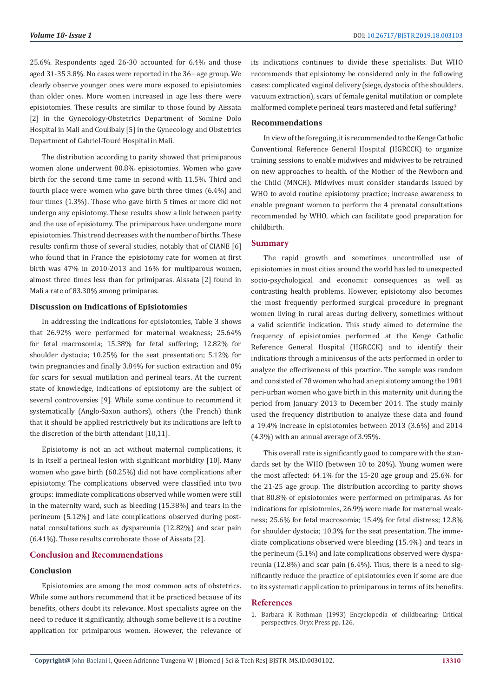25.6%. Respondents aged 26-30 accounted for 6.4% and those aged 31-35 3.8%. No cases were reported in the 36+ age group. We clearly observe younger ones were more exposed to episiotomies than older ones. More women increased in age less there were episiotomies. These results are similar to those found by Aissata [2] in the Gynecology-Obstetrics Department of Somine Dolo Hospital in Mali and Coulibaly [5] in the Gynecology and Obstetrics Department of Gabriel-Touré Hospital in Mali.

The distribution according to parity showed that primiparous women alone underwent 80.8% episiotomies. Women who gave birth for the second time came in second with 11.5%. Third and fourth place were women who gave birth three times (6.4%) and four times (1.3%). Those who gave birth 5 times or more did not undergo any episiotomy. These results show a link between parity and the use of episiotomy. The primiparous have undergone more episiotomies. This trend decreases with the number of births. These results confirm those of several studies, notably that of CIANE [6] who found that in France the episiotomy rate for women at first birth was 47% in 2010-2013 and 16% for multiparous women, almost three times less than for primiparas. Aissata [2] found in Mali a rate of 83.30% among primiparas.

# **Discussion on Indications of Episiotomies**

In addressing the indications for episiotomies, Table 3 shows that 26.92% were performed for maternal weakness; 25.64% for fetal macrosomia; 15.38% for fetal suffering; 12.82% for shoulder dystocia; 10.25% for the seat presentation; 5.12% for twin pregnancies and finally 3.84% for suction extraction and 0% for scars for sexual mutilation and perineal tears. At the current state of knowledge, indications of episiotomy are the subject of several controversies [9]. While some continue to recommend it systematically (Anglo-Saxon authors), others (the French) think that it should be applied restrictively but its indications are left to the discretion of the birth attendant [10,11].

Episiotomy is not an act without maternal complications, it is in itself a perineal lesion with significant morbidity [10]. Many women who gave birth (60.25%) did not have complications after episiotomy. The complications observed were classified into two groups: immediate complications observed while women were still in the maternity ward, such as bleeding (15.38%) and tears in the perineum (5.12%) and late complications observed during postnatal consultations such as dyspareunia (12.82%) and scar pain (6.41%). These results corroborate those of Aissata [2].

## **Conclusion and Recommendations**

#### **Conclusion**

Episiotomies are among the most common acts of obstetrics. While some authors recommend that it be practiced because of its benefits, others doubt its relevance. Most specialists agree on the need to reduce it significantly, although some believe it is a routine application for primiparous women. However, the relevance of its indications continues to divide these specialists. But WHO recommends that episiotomy be considered only in the following cases: complicated vaginal delivery (siege, dystocia of the shoulders, vacuum extraction), scars of female genital mutilation or complete malformed complete perineal tears mastered and fetal suffering?

# **Recommendations**

In view of the foregoing, it is recommended to the Kenge Catholic Conventional Reference General Hospital (HGRCCK) to organize training sessions to enable midwives and midwives to be retrained on new approaches to health. of the Mother of the Newborn and the Child (MNCH). Midwives must consider standards issued by WHO to avoid routine episiotomy practice; increase awareness to enable pregnant women to perform the 4 prenatal consultations recommended by WHO, which can facilitate good preparation for childbirth.

#### **Summary**

The rapid growth and sometimes uncontrolled use of episiotomies in most cities around the world has led to unexpected socio-psychological and economic consequences as well as contrasting health problems. However, episiotomy also becomes the most frequently performed surgical procedure in pregnant women living in rural areas during delivery, sometimes without a valid scientific indication. This study aimed to determine the frequency of episiotomies performed at the Kenge Catholic Reference General Hospital (HGRCCK) and to identify their indications through a minicensus of the acts performed in order to analyze the effectiveness of this practice. The sample was random and consisted of 78 women who had an episiotomy among the 1981 peri-urban women who gave birth in this maternity unit during the period from January 2013 to December 2014. The study mainly used the frequency distribution to analyze these data and found a 19.4% increase in episiotomies between 2013 (3.6%) and 2014 (4.3%) with an annual average of 3.95%.

This overall rate is significantly good to compare with the standards set by the WHO (between 10 to 20%). Young women were the most affected: 64.1% for the 15-20 age group and 25.6% for the 21-25 age group. The distribution according to parity shows that 80.8% of episiotomies were performed on primiparas. As for indications for episiotomies, 26.9% were made for maternal weakness; 25.6% for fetal macrosomia; 15.4% for fetal distress; 12.8% for shoulder dystocia; 10.3% for the seat presentation. The immediate complications observed were bleeding (15.4%) and tears in the perineum (5.1%) and late complications observed were dyspareunia (12.8%) and scar pain (6.4%). Thus, there is a need to significantly reduce the practice of episiotomies even if some are due to its systematic application to primiparous in terms of its benefits.

#### **References**

1. [Barbara K Rothman \(1993\) Encyclopedia of childbearing: Critical](https://play.google.com/store/books/details/Encyclopedia_of_Childbearing_Critical_Perspectives?id=Np8HQbKRY68C&hl=sw) [perspectives. Oryx Press pp. 126.](https://play.google.com/store/books/details/Encyclopedia_of_Childbearing_Critical_Perspectives?id=Np8HQbKRY68C&hl=sw)